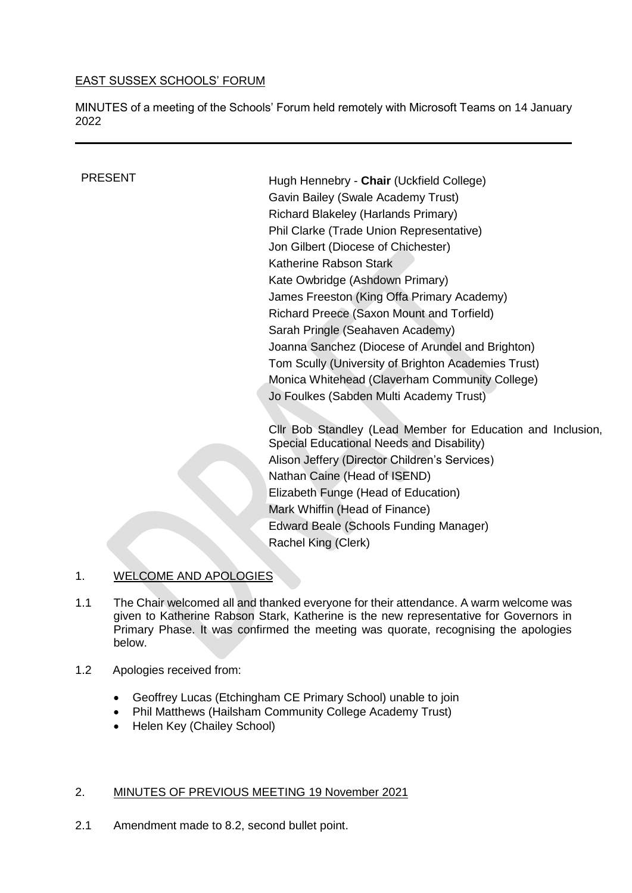# EAST SUSSEX SCHOOLS' FORUM

MINUTES of a meeting of the Schools' Forum held remotely with Microsoft Teams on 14 January 2022

PRESENT Hugh Hennebry - **Chair** (Uckfield College) Gavin Bailey (Swale Academy Trust) Richard Blakeley (Harlands Primary) Phil Clarke (Trade Union Representative) Jon Gilbert (Diocese of Chichester) Katherine Rabson Stark Kate Owbridge (Ashdown Primary) James Freeston (King Offa Primary Academy) Richard Preece (Saxon Mount and Torfield) Sarah Pringle (Seahaven Academy) Joanna Sanchez (Diocese of Arundel and Brighton) Tom Scully (University of Brighton Academies Trust) Monica Whitehead (Claverham Community College) Jo Foulkes (Sabden Multi Academy Trust)

> Cllr Bob Standley (Lead Member for Education and Inclusion, Special Educational Needs and Disability) Alison Jeffery (Director Children's Services) Nathan Caine (Head of ISEND) Elizabeth Funge (Head of Education) Mark Whiffin (Head of Finance) Edward Beale (Schools Funding Manager) Rachel King (Clerk)

## 1. WELCOME AND APOLOGIES

- 1.1 The Chair welcomed all and thanked everyone for their attendance. A warm welcome was given to Katherine Rabson Stark, Katherine is the new representative for Governors in Primary Phase. It was confirmed the meeting was quorate, recognising the apologies below.
- 1.2 Apologies received from:
	- Geoffrey Lucas (Etchingham CE Primary School) unable to join
	- Phil Matthews (Hailsham Community College Academy Trust)
	- Helen Key (Chailey School)

#### 2. MINUTES OF PREVIOUS MEETING 19 November 2021

2.1 Amendment made to 8.2, second bullet point.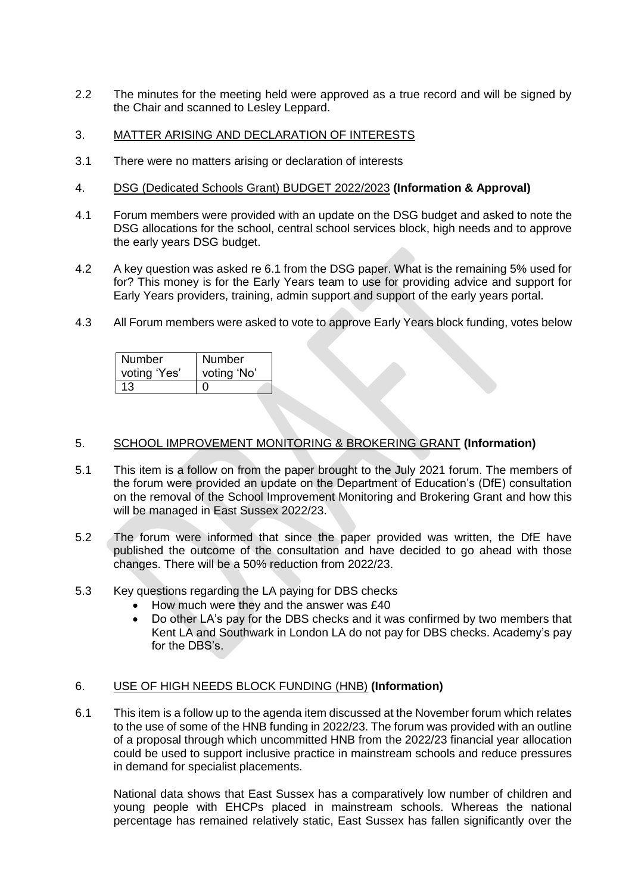- 2.2 The minutes for the meeting held were approved as a true record and will be signed by the Chair and scanned to Lesley Leppard.
- 3. MATTER ARISING AND DECLARATION OF INTERESTS
- 3.1 There were no matters arising or declaration of interests
- 4. DSG (Dedicated Schools Grant) BUDGET 2022/2023 **(Information & Approval)**
- 4.1 Forum members were provided with an update on the DSG budget and asked to note the DSG allocations for the school, central school services block, high needs and to approve the early years DSG budget.
- 4.2 A key question was asked re 6.1 from the DSG paper. What is the remaining 5% used for for? This money is for the Early Years team to use for providing advice and support for Early Years providers, training, admin support and support of the early years portal.
- 4.3 All Forum members were asked to vote to approve Early Years block funding, votes below

| <b>Number</b> | <b>Number</b> |
|---------------|---------------|
| voting 'Yes'  | voting 'No'   |
| 13.           |               |

## 5. SCHOOL IMPROVEMENT MONITORING & BROKERING GRANT **(Information)**

- 5.1 This item is a follow on from the paper brought to the July 2021 forum. The members of the forum were provided an update on the Department of Education's (DfE) consultation on the removal of the School Improvement Monitoring and Brokering Grant and how this will be managed in East Sussex 2022/23.
- 5.2 The forum were informed that since the paper provided was written, the DfE have published the outcome of the consultation and have decided to go ahead with those changes. There will be a 50% reduction from 2022/23.
- 5.3 Key questions regarding the LA paying for DBS checks
	- How much were they and the answer was £40
	- Do other LA's pay for the DBS checks and it was confirmed by two members that Kent LA and Southwark in London LA do not pay for DBS checks. Academy's pay for the DBS's.

## 6. USE OF HIGH NEEDS BLOCK FUNDING (HNB) **(Information)**

6.1 This item is a follow up to the agenda item discussed at the November forum which relates to the use of some of the HNB funding in 2022/23. The forum was provided with an outline of a proposal through which uncommitted HNB from the 2022/23 financial year allocation could be used to support inclusive practice in mainstream schools and reduce pressures in demand for specialist placements.

National data shows that East Sussex has a comparatively low number of children and young people with EHCPs placed in mainstream schools. Whereas the national percentage has remained relatively static, East Sussex has fallen significantly over the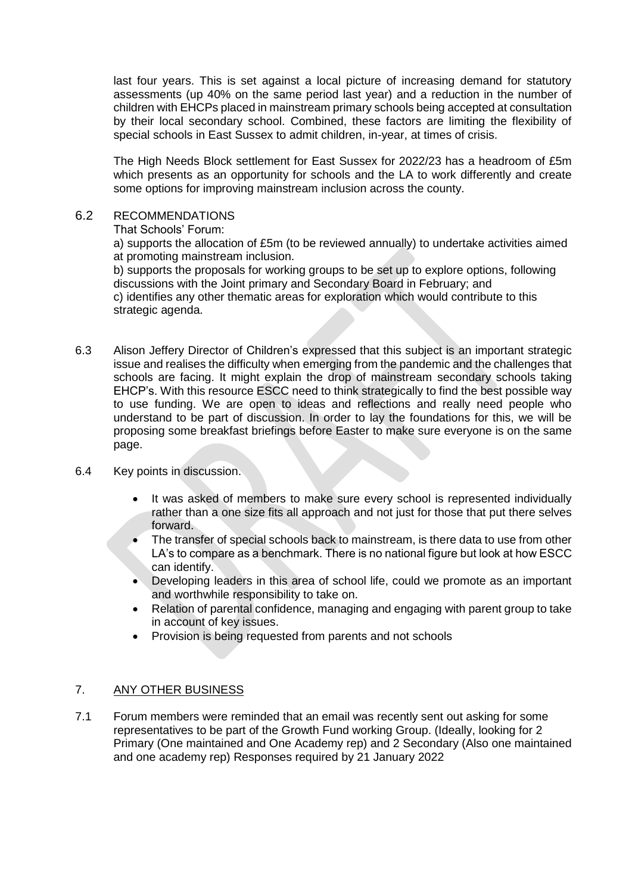last four years. This is set against a local picture of increasing demand for statutory assessments (up 40% on the same period last year) and a reduction in the number of children with EHCPs placed in mainstream primary schools being accepted at consultation by their local secondary school. Combined, these factors are limiting the flexibility of special schools in East Sussex to admit children, in-year, at times of crisis.

The High Needs Block settlement for East Sussex for 2022/23 has a headroom of £5m which presents as an opportunity for schools and the LA to work differently and create some options for improving mainstream inclusion across the county.

### 6.2 RECOMMENDATIONS

That Schools' Forum:

a) supports the allocation of £5m (to be reviewed annually) to undertake activities aimed at promoting mainstream inclusion.

b) supports the proposals for working groups to be set up to explore options, following discussions with the Joint primary and Secondary Board in February; and c) identifies any other thematic areas for exploration which would contribute to this strategic agenda.

6.3 Alison Jeffery Director of Children's expressed that this subject is an important strategic issue and realises the difficulty when emerging from the pandemic and the challenges that schools are facing. It might explain the drop of mainstream secondary schools taking EHCP's. With this resource ESCC need to think strategically to find the best possible way to use funding. We are open to ideas and reflections and really need people who understand to be part of discussion. In order to lay the foundations for this, we will be proposing some breakfast briefings before Easter to make sure everyone is on the same page.

## 6.4 Key points in discussion.

- It was asked of members to make sure every school is represented individually rather than a one size fits all approach and not just for those that put there selves forward.
- The transfer of special schools back to mainstream, is there data to use from other LA's to compare as a benchmark. There is no national figure but look at how ESCC can identify.
- Developing leaders in this area of school life, could we promote as an important and worthwhile responsibility to take on.
- Relation of parental confidence, managing and engaging with parent group to take in account of key issues.
- Provision is being requested from parents and not schools

## 7. ANY OTHER BUSINESS

7.1 Forum members were reminded that an email was recently sent out asking for some representatives to be part of the Growth Fund working Group. (Ideally, looking for 2 Primary (One maintained and One Academy rep) and 2 Secondary (Also one maintained and one academy rep) Responses required by 21 January 2022